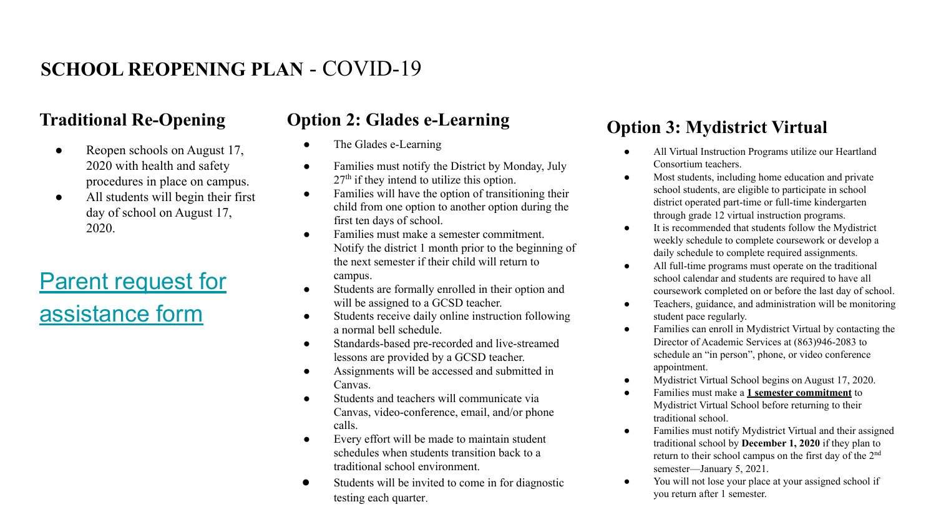# **SCHOOL REOPENING PLAN** - COVID-19

#### **Traditional Re-Opening**

- Reopen schools on August 17, 2020 with health and safety procedures in place on campus.
- All students will begin their first day of school on August 17, 2020.

# [Parent request for](https://docs.google.com/forms/d/1kY4dQPdCSSdmFwjTInE0G_j3D7BjKJUrnYoMuKmSOrs/edit?usp=sharing) [assistance form](https://docs.google.com/forms/d/1kY4dQPdCSSdmFwjTInE0G_j3D7BjKJUrnYoMuKmSOrs/edit?usp=sharing)

## **Option 2: Glades e-Learning**

- The Glades e-Learning
- Families must notify the District by Monday, July  $27<sup>th</sup>$  if they intend to utilize this option.
- Families will have the option of transitioning their child from one option to another option during the first ten days of school.
- Families must make a semester commitment. Notify the district 1 month prior to the beginning of the next semester if their child will return to campus.
- Students are formally enrolled in their option and will be assigned to a GCSD teacher.
- Students receive daily online instruction following a normal bell schedule.
- Standards-based pre-recorded and live-streamed lessons are provided by a GCSD teacher.
- Assignments will be accessed and submitted in Canvas.
- Students and teachers will communicate via Canvas, video-conference, email, and/or phone calls.
- Every effort will be made to maintain student schedules when students transition back to a traditional school environment.
- Students will be invited to come in for diagnostic testing each quarter

## **Option 3: Mydistrict Virtual**

- All Virtual Instruction Programs utilize our Heartland Consortium teachers.
- Most students, including home education and private school students, are eligible to participate in school district operated part-time or full-time kindergarten through grade 12 virtual instruction programs.
- It is recommended that students follow the Mydistrict weekly schedule to complete coursework or develop a daily schedule to complete required assignments.
- All full-time programs must operate on the traditional school calendar and students are required to have all coursework completed on or before the last day of school.
- Teachers, guidance, and administration will be monitoring student pace regularly.
- Families can enroll in Mydistrict Virtual by contacting the Director of Academic Services at (863)946-2083 to schedule an "in person", phone, or video conference appointment.
- Mydistrict Virtual School begins on August 17, 2020.
- Families must make a **1 semester commitment** to Mydistrict Virtual School before returning to their traditional school.
- Families must notify Mydistrict Virtual and their assigned traditional school by **December 1, 2020** if they plan to return to their school campus on the first day of the 2nd semester—January 5, 2021.
- You will not lose your place at your assigned school if you return after 1 semester.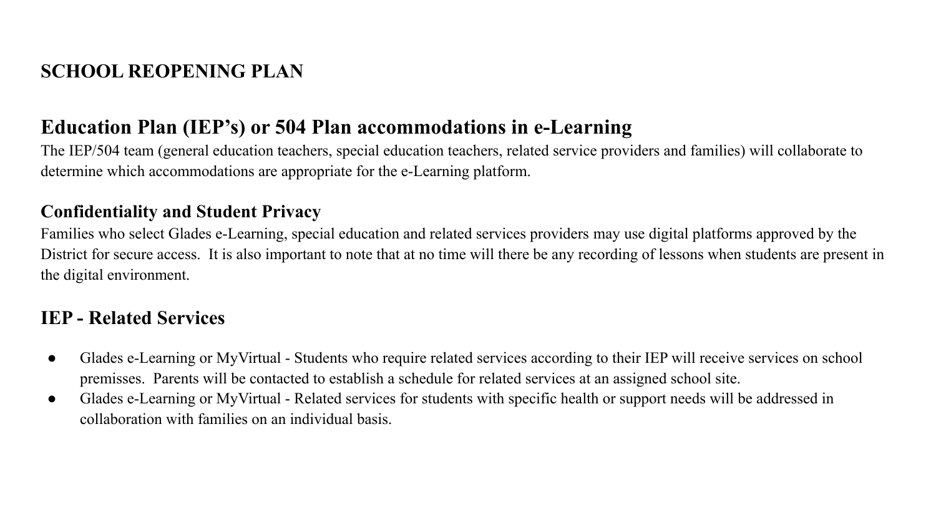# **SCHOOL REOPENING PLAN**

## **Education Plan (IEP's) or 504 Plan accommodations in e-Learning**

The IEP/504 team (general education teachers, special education teachers, related service providers and families) will collaborate to determine which accommodations are appropriate for the e-Learning platform.

#### **Confidentiality and Student Privacy**

Families who select Glades e-Learning, special education and related services providers may use digital platforms approved by the District for secure access. It is also important to note that at no time will there be any recording of lessons when students are present in the digital environment.

## **IEP - Related Services**

- Glades e-Learning or MyVirtual Students who require related services according to their IEP will receive services on school premisses. Parents will be contacted to establish a schedule for related services at an assigned school site.
- Glades e-Learning or MyVirtual Related services for students with specific health or support needs will be addressed in collaboration with families on an individual basis.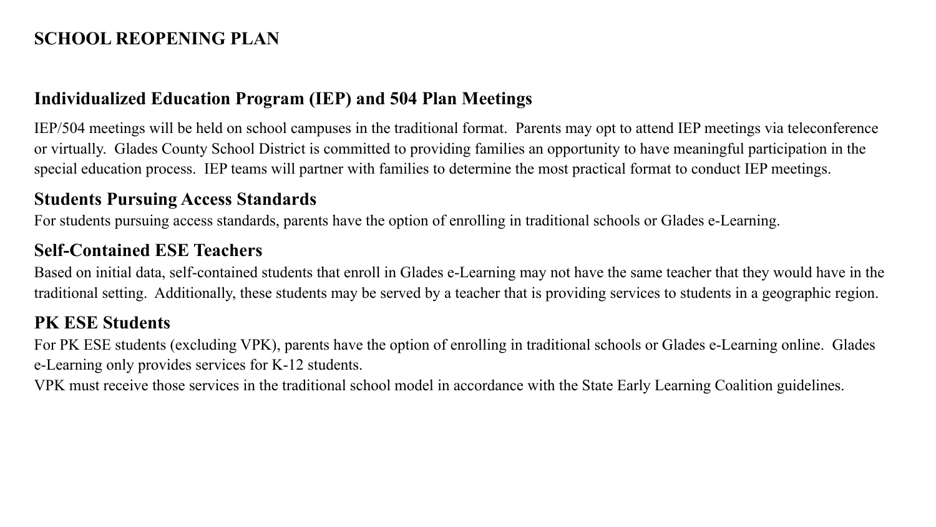## **SCHOOL REOPENING PLAN**

#### **Individualized Education Program (IEP) and 504 Plan Meetings**

IEP/504 meetings will be held on school campuses in the traditional format. Parents may opt to attend IEP meetings via teleconference or virtually. Glades County School District is committed to providing families an opportunity to have meaningful participation in the special education process. IEP teams will partner with families to determine the most practical format to conduct IEP meetings.

#### **Students Pursuing Access Standards**

For students pursuing access standards, parents have the option of enrolling in traditional schools or Glades e-Learning.

## **Self-Contained ESE Teachers**

Based on initial data, self-contained students that enroll in Glades e-Learning may not have the same teacher that they would have in the traditional setting. Additionally, these students may be served by a teacher that is providing services to students in a geographic region.

#### **PK ESE Students**

For PK ESE students (excluding VPK), parents have the option of enrolling in traditional schools or Glades e-Learning online. Glades e-Learning only provides services for K-12 students.

VPK must receive those services in the traditional school model in accordance with the State Early Learning Coalition guidelines.